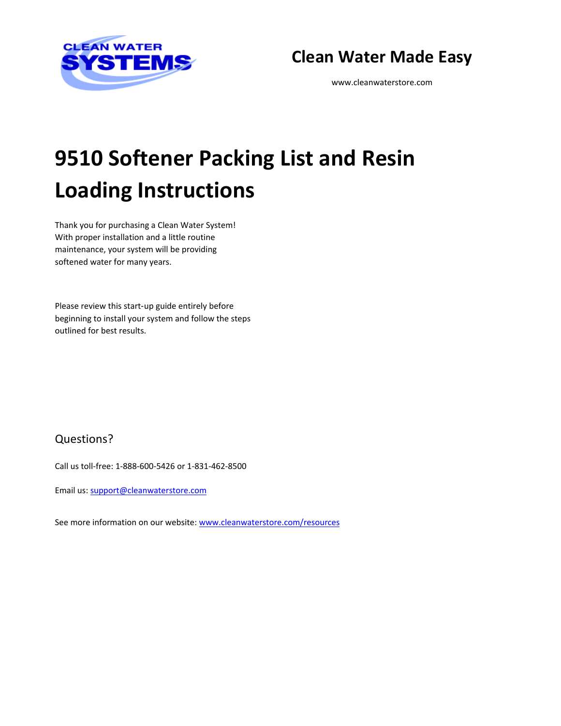

# **Clean Water Made Easy**

[www.cleanwaterstore.com](http://www.cleanwaterstore.com/)

# **9510 Softener Packing List and Resin Loading Instructions**

Thank you for purchasing a Clean Water System! With proper installation and a little routine maintenance, your system will be providing softened water for many years.

Please review this start‐up guide entirely before beginning to install your system and follow the steps outlined for best results.

### Questions?

Call us toll-free: 1-888-600-5426 or 1-831-462-8500

Email us[: support@cleanwaterstore.com](mailto:support@cleanwaterstore.com)

See more information on our website[: www.cleanwaterstore.com/resources](http://www.cleanwaterstore.com/resources)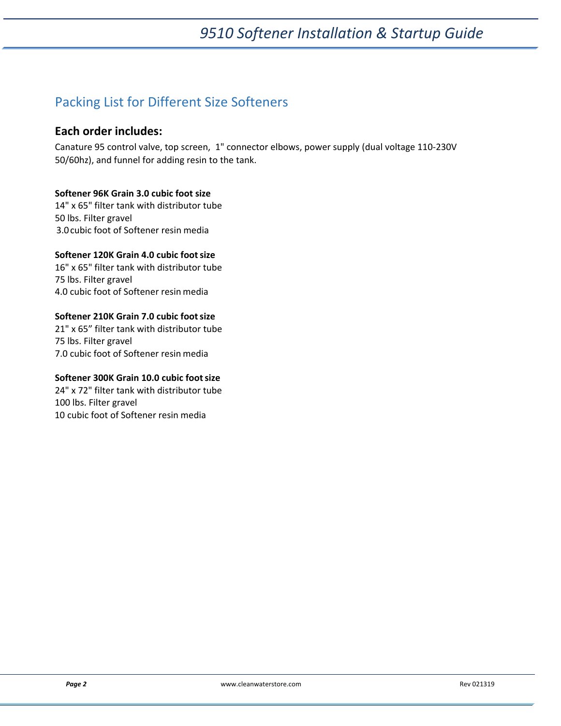# *9510 Softener Installation & Startup Guide*

## Packing List for Different Size Softeners

#### **Each order includes:**

Canature 95 control valve, top screen, 1" connector elbows, power supply (dual voltage 110-230V 50/60hz), and funnel for adding resin to the tank.

#### **Softener 96K Grain 3.0 cubic foot size**

14" x 65" filter tank with distributor tube 50 lbs. Filter gravel 3.0cubic foot of Softener resin media

#### **Softener 120K Grain 4.0 cubic footsize**

16" x 65" filter tank with distributor tube 75 lbs. Filter gravel 4.0 cubic foot of Softener resin media

#### **Softener 210K Grain 7.0 cubic footsize**

21" x 65" filter tank with distributor tube 75 lbs. Filter gravel 7.0 cubic foot of Softener resin media

#### **Softener 300K Grain 10.0 cubic footsize**

24" x 72" filter tank with distributor tube 100 lbs. Filter gravel 10 cubic foot of Softener resin media